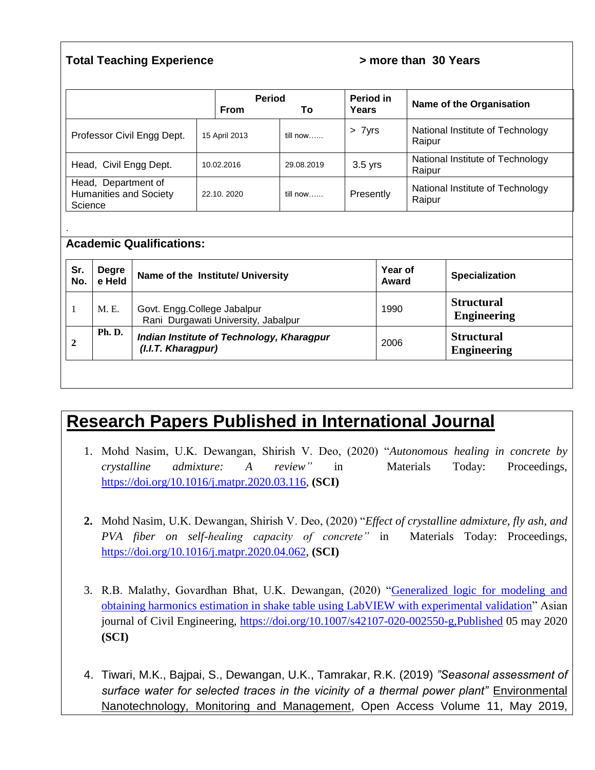#### **Total Teaching Experience 1988 20 Years 20 Years 1988 20 Years**

|                                                                 |               | <b>Period</b><br><b>From</b> | Т٥         | Period in<br>Years | Name of the Organisation                   |
|-----------------------------------------------------------------|---------------|------------------------------|------------|--------------------|--------------------------------------------|
| Professor Civil Engg Dept.                                      | 15 April 2013 |                              | till now   | > 7yrs             | National Institute of Technology<br>Raipur |
| Head, Civil Engg Dept.                                          | 10.02.2016    |                              | 29.08.2019 | $3.5$ yrs          | National Institute of Technology<br>Raipur |
| Head, Department of<br><b>Humanities and Society</b><br>Science |               | 22.10, 2020                  | till now   | Presently          | National Institute of Technology<br>Raipur |
|                                                                 |               |                              |            |                    |                                            |

#### **Academic Qualifications:**

| Sr.<br>No. | <b>Degre</b><br>e Held | Name of the Institute/ University                                  | Year of<br>Award | <b>Specialization</b>                   |
|------------|------------------------|--------------------------------------------------------------------|------------------|-----------------------------------------|
|            | M. E.                  | Govt. Engg.College Jabalpur<br>Rani Durgawati University, Jabalpur | 1990             | <b>Structural</b><br><b>Engineering</b> |
|            | <b>Ph. D.</b>          | Indian Institute of Technology, Kharagpur<br>(I.I.T. Kharagpur)    | 2006             | <b>Structural</b><br><b>Engineering</b> |

# **Research Papers Published in International Journal**

- 1. Mohd Nasim, U.K. Dewangan, Shirish V. Deo, (2020) "*Autonomous healing in concrete by crystalline admixture: A review"* in Materials Today: Proceedings, [https://doi.org/10.1016/j.matpr.2020.03.116,](https://doi.org/10.1016/j.matpr.2020.03.116) **(SCI)**
- **2.** Mohd Nasim, U.K. Dewangan, Shirish V. Deo, (2020) "*Effect of crystalline admixture, fly ash, and PVA fiber on self-healing capacity of concrete"* in Materials Today: Proceedings, [https://doi.org/10.1016/j.matpr.2020.04.062,](https://doi.org/10.1016/j.matpr.2020.04.062) **(SCI)**
- 3. R.B. Malathy, Govardhan Bhat, U.K. Dewangan, (2020) ["Generalized logic for modeling and](https://link.springer.com/article/10.1007/s42107-020-00255-x)  [obtaining harmonics estimation in shake table using LabVIEW with experimental validation"](https://link.springer.com/article/10.1007/s42107-020-00255-x) Asian journal of Civil Engineering,<https://doi.org/10.1007/s42107-020-002550-g,Published> 05 may 2020 **(SCI)**
- 4. Tiwari, M.K., Bajpai, S., Dewangan, U.K., Tamrakar, R.K. (2019) *"Seasonal assessment of surface water for selected traces in the vicinity of a thermal power plant"* [Environmental](https://www.scopus.com/sourceid/21100367128?origin=recordpage)  [Nanotechnology, Monitoring and Management,](https://www.scopus.com/sourceid/21100367128?origin=recordpage) Open Access Volume 11, May 2019,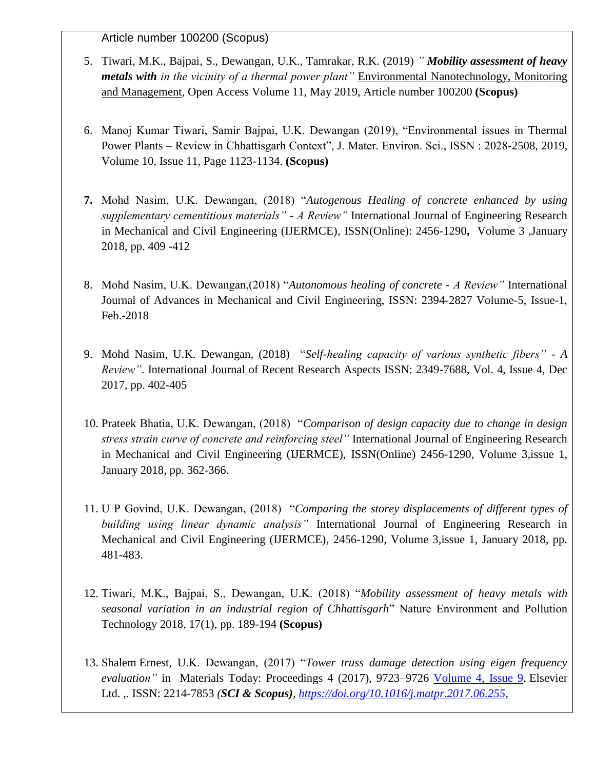Article number 100200 (Scopus)

- 5. Tiwari, M.K., Bajpai, S., Dewangan, U.K., Tamrakar, R.K. (2019) *" Mobility assessment of heavy metals with in the vicinity of a thermal power plant"* [Environmental Nanotechnology, Monitoring](https://www.scopus.com/sourceid/21100367128?origin=recordpage)  [and Management,](https://www.scopus.com/sourceid/21100367128?origin=recordpage) Open Access Volume 11, May 2019, Article number 100200 **(Scopus)**
- 6. Manoj Kumar Tiwari, Samir Bajpai, U.K. Dewangan (2019), "Environmental issues in Thermal Power Plants – Review in Chhattisgarh Context", J. Mater. Environ. Sci., ISSN : 2028-2508, 2019, Volume 10, Issue 11, Page 1123-1134. **(Scopus)**
- **7.** Mohd Nasim, U.K. Dewangan, (2018) "*Autogenous Healing of concrete enhanced by using supplementary cementitious materials" - A Review"* [International Journal of Engineering Research](http://ijermce.com/abstract.php?id=12034)  [in Mechanical and Civil Engineering \(IJERMCE\),](http://ijermce.com/abstract.php?id=12034) ISSN(Online): 2456-1290**,** Volume 3 ,January 2018, pp. 409 -412
- 8. Mohd Nasim, U.K. Dewangan,(2018) "*Autonomous healing of concrete - A Review"* International Journal of Advances in Mechanical and Civil Engineering, ISSN: 2394-2827 Volume-5, Issue-1, Feb.-2018
- 9. Mohd Nasim, U.K. Dewangan, (2018) "*Self-healing capacity of various synthetic fibers" - A Review"*. International Journal of Recent Research Aspects ISSN: 2349-7688, Vol. 4, Issue 4, Dec 2017, pp. 402-405
- 10. Prateek Bhatia, U.K. Dewangan, (2018) "*Comparison of design capacity due to change in design stress strain curve of concrete and reinforcing steel"* [International Journal of Engineering Research](http://ijermce.com/abstract.php?id=12034)  [in Mechanical and Civil Engineering \(IJERMCE\),](http://ijermce.com/abstract.php?id=12034) ISSN(Online) 2456-1290, Volume 3,issue 1, January 2018, pp. 362-366.
- 11. U P Govind, U.K. Dewangan, (2018) "*Comparing the storey displacements of different types of building using linear dynamic analysis"* [International Journal of Engineering Research in](http://ijermce.com/abstract.php?id=12034)  [Mechanical and Civil Engineering \(IJERMCE\),](http://ijermce.com/abstract.php?id=12034) 2456-1290, Volume 3,issue 1, January 2018, pp. 481-483.
- 12. Tiwari, M.K., Bajpai, S., Dewangan, U.K. (2018) "*Mobility assessment of heavy metals with seasonal variation in an industrial region of Chhattisgarh*" Nature Environment and Pollution Technology 2018, 17(1), pp. 189-194 **(Scopus)**
- 13. Shalem Ernest, U.K. Dewangan, (2017) "*Tower truss damage detection using eigen frequency evaluation"* in Materials Today: Proceedings 4 (2017), 9723–9726 [Volume 4, Issue 9,](https://www.sciencedirect.com/science/journal/22147853/4/9) Elsevier Ltd. ,. ISSN: 2214-7853 *(SCI & Scopus), [https://doi.org/10.1016/j.matpr.2017.06.255,](https://doi.org/10.1016/j.matpr.2017.06.255)*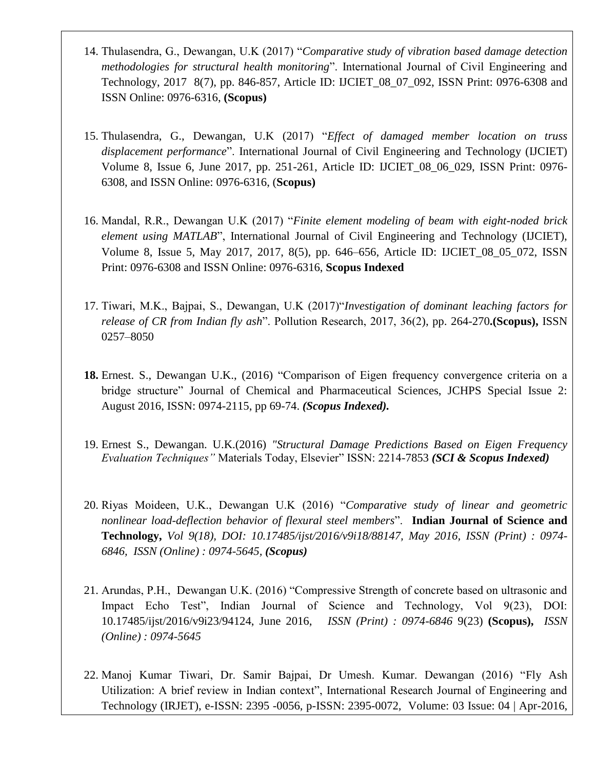- 14. Thulasendra, G., Dewangan, U.K (2017) "*Comparative study of vibration based damage detection methodologies for structural health monitoring*". International Journal of Civil Engineering and Technology, 2017 8(7), pp. 846-857, Article ID: IJCIET\_08\_07\_092, ISSN Print: 0976-6308 and ISSN Online: 0976-6316, **(Scopus)**
- 15. Thulasendra, G., Dewangan, U.K (2017) "*Effect of damaged member location on truss displacement performance*". International Journal of Civil Engineering and Technology (IJCIET) Volume 8, Issue 6, June 2017, pp. 251-261, Article ID: IJCIET\_08\_06\_029, ISSN Print: 0976- 6308, and ISSN Online: 0976-6316, (**Scopus)**
- 16. Mandal, R.R., Dewangan U.K (2017) "*Finite element modeling of beam with eight-noded brick element using MATLAB*", International Journal of Civil Engineering and Technology (IJCIET), Volume 8, Issue 5, May 2017, 2017, 8(5), pp. 646–656, Article ID: IJCIET\_08\_05\_072, ISSN Print: 0976-6308 and ISSN Online: 0976-6316, **Scopus Indexed**
- 17. Tiwari, M.K., Bajpai, S., Dewangan, U.K (2017)"*Investigation of dominant leaching factors for release of CR from Indian fly ash*". Pollution Research, 2017, 36(2), pp. 264-270**.(Scopus),** ISSN 0257–8050
- **18.** Ernest. S., Dewangan U.K., (2016) "Comparison of Eigen frequency convergence criteria on a bridge structure" Journal of Chemical and Pharmaceutical Sciences, JCHPS Special Issue 2: August 2016, ISSN: 0974-2115, pp 69-74. *(Scopus Indexed).*
- 19. Ernest S., Dewangan. U.K.(2016) *"Structural Damage Predictions Based on Eigen Frequency Evaluation Techniques"* Materials Today, Elsevier" ISSN: 2214-7853 *(SCI & Scopus Indexed)*
- 20. Riyas Moideen, U.K., Dewangan U.K (2016) "*Comparative study of linear and geometric nonlinear load-deflection behavior of flexural steel members*". **Indian Journal of Science and Technology,** *Vol 9(18), DOI: 10.17485/ijst/2016/v9i18/88147, May 2016, ISSN (Print) : 0974- 6846, ISSN (Online) : 0974-5645, (Scopus)*
- 21. Arundas, P.H., Dewangan U.K. (2016) "Compressive Strength of concrete based on ultrasonic and Impact Echo Test", Indian Journal of Science and Technology, Vol 9(23), DOI: 10.17485/ijst/2016/v9i23/94124, June 2016, *ISSN (Print) : 0974-6846* 9(23) **(Scopus),** *ISSN (Online) : 0974-5645*
- 22. Manoj Kumar Tiwari, Dr. Samir Bajpai, Dr Umesh. Kumar. Dewangan (2016) "Fly Ash Utilization: A brief review in Indian context", International Research Journal of Engineering and Technology (IRJET), e-ISSN: 2395 -0056, p-ISSN: 2395-0072, Volume: 03 Issue: 04 | Apr-2016,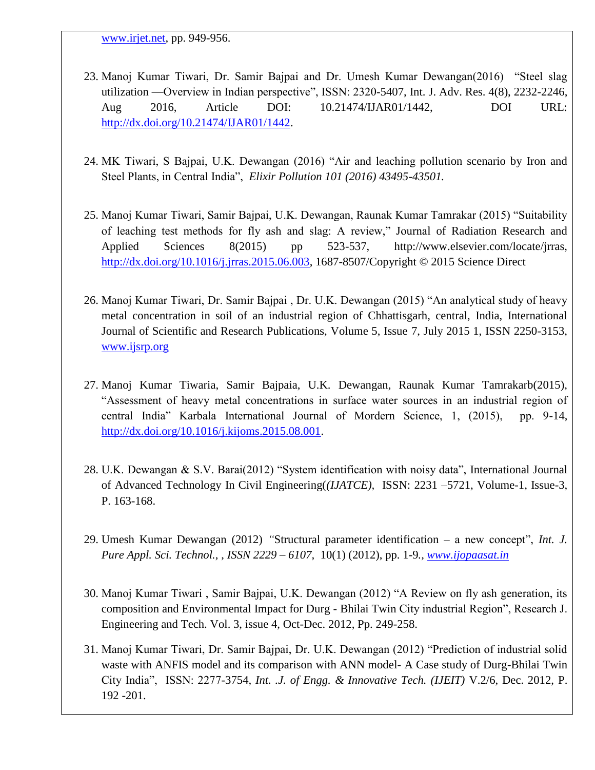[www.irjet.net,](http://www.irjet.net/) pp. 949-956.

- 23. Manoj Kumar Tiwari, Dr. Samir Bajpai and Dr. Umesh Kumar Dewangan(2016) "Steel slag utilization —Overview in Indian perspective", ISSN: 2320-5407, Int. J. Adv. Res. 4(8), 2232-2246, Aug 2016, Article DOI: 10.21474/IJAR01/1442, DOI URL: [http://dx.doi.org/10.21474/IJAR01/1442.](http://dx.doi.org/10.21474/IJAR01/1442)
- 24. MK Tiwari, S Bajpai, U.K. Dewangan (2016) "Air and leaching pollution scenario by Iron and Steel Plants, in Central India", *Elixir Pollution 101 (2016) 43495-43501.*
- 25. Manoj Kumar Tiwari, Samir Bajpai, U.K. Dewangan, Raunak Kumar Tamrakar (2015) "Suitability of leaching test methods for fly ash and slag: A review," Journal of Radiation Research and Applied Sciences 8(2015) pp 523-537, http://www.elsevier.com/locate/jrras, [http://dx.doi.org/10.1016/j.jrras.2015.06.003,](http://dx.doi.org/10.1016/j.jrras.2015.06.003) 1687-8507/Copyright © 2015 Science Direct
- 26. Manoj Kumar Tiwari, Dr. Samir Bajpai , Dr. U.K. Dewangan (2015) "An analytical study of heavy metal concentration in soil of an industrial region of Chhattisgarh, central, India, International Journal of Scientific and Research Publications, Volume 5, Issue 7, July 2015 1, ISSN 2250-3153, [www.ijsrp.org](http://www.ijsrp.org/)
- 27. Manoj Kumar Tiwaria, Samir Bajpaia, U.K. Dewangan, Raunak Kumar Tamrakarb(2015), "Assessment of heavy metal concentrations in surface water sources in an industrial region of central India" Karbala International Journal of Mordern Science, 1, (2015), pp. 9-14, [http://dx.doi.org/10.1016/j.kijoms.2015.08.001.](http://dx.doi.org/10.1016/j.kijoms.2015.08.001)
- 28. U.K. Dewangan & S.V. Barai(2012) "System identification with noisy data", International Journal of Advanced Technology In Civil Engineering(*(IJATCE),* ISSN: 2231 –5721, Volume-1, Issue-3, P. 163-168.
- 29. Umesh Kumar Dewangan (2012) *"*Structural parameter identification a new concept", *Int. J. Pure Appl. Sci. Technol.*, , *ISSN 2229 – 6107,* 10(1) (2012), pp. 1-9*., [www.ijopaasat.in](http://www.ijopaasat.in/)*
- 30. Manoj Kumar Tiwari , Samir Bajpai, U.K. Dewangan (2012) "A Review on fly ash generation, its composition and Environmental Impact for Durg - Bhilai Twin City industrial Region", Research J. Engineering and Tech. Vol. 3, issue 4, Oct-Dec. 2012, Pp. 249-258.
- 31. Manoj Kumar Tiwari, Dr. Samir Bajpai, Dr. U.K. Dewangan (2012) "Prediction of industrial solid waste with ANFIS model and its comparison with ANN model- A Case study of Durg-Bhilai Twin City India", ISSN: 2277-3754*, Int. .J. of Engg. & Innovative Tech. (IJEIT)* V.2/6, Dec. 2012, P. 192 -201.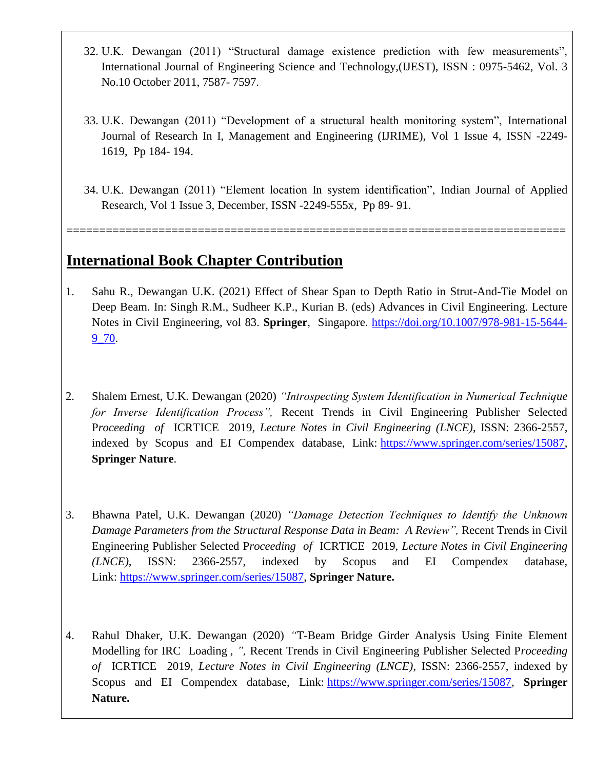- 32. U.K. Dewangan (2011) "Structural damage existence prediction with few measurements", International Journal of Engineering Science and Technology,(IJEST), ISSN : 0975-5462, Vol. 3 No.10 October 2011, 7587- 7597.
- 33. U.K. Dewangan (2011) "Development of a structural health monitoring system", International Journal of Research In I, Management and Engineering (IJRIME), Vol 1 Issue 4, ISSN -2249- 1619, Pp 184- 194.
- 34. U.K. Dewangan (2011) "Element location In system identification", Indian Journal of Applied Research, Vol 1 Issue 3, December, ISSN -2249-555x, Pp 89- 91.

============================================================================

### **International Book Chapter Contribution**

- 1. Sahu R., Dewangan U.K. (2021) Effect of Shear Span to Depth Ratio in Strut-And-Tie Model on Deep Beam. In: Singh R.M., Sudheer K.P., Kurian B. (eds) Advances in Civil Engineering. Lecture Notes in Civil Engineering, vol 83. **Springer**, Singapore. [https://doi.org/10.1007/978-981-15-5644-](https://doi.org/10.1007/978-981-15-5644-9_70) [9\\_70.](https://doi.org/10.1007/978-981-15-5644-9_70)
- 2. Shalem Ernest, U.K. Dewangan (2020) *"Introspecting System Identification in Numerical Technique for Inverse Identification Process",* Recent Trends in Civil Engineering Publisher Selected P*roceeding of* ICRTICE 2019, *Lecture Notes in Civil Engineering (LNCE)*, ISSN: 2366-2557, indexed by Scopus and EI Compendex database, Link: [https://www.springer.com/series/15087,](https://www.springer.com/series/15087) **Springer Nature**.
- 3. Bhawna Patel, U.K. Dewangan (2020) *"Damage Detection Techniques to Identify the Unknown Damage Parameters from the Structural Response Data in Beam: A Review",* Recent Trends in Civil Engineering Publisher Selected P*roceeding of* ICRTICE 2019, *Lecture Notes in Civil Engineering (LNCE)*, ISSN: 2366-2557, indexed by Scopus and EI Compendex database, Link: [https://www.springer.com/series/15087,](https://www.springer.com/series/15087) **Springer Nature.**
- 4. Rahul Dhaker, U.K. Dewangan (2020) *"*T-Beam Bridge Girder Analysis Using Finite Element Modelling for IRC Loading , *",* Recent Trends in Civil Engineering Publisher Selected P*roceeding of* ICRTICE 2019, *Lecture Notes in Civil Engineering (LNCE)*, ISSN: 2366-2557, indexed by Scopus and EI Compendex database, Link: [https://www.springer.com/series/15087,](https://www.springer.com/series/15087) **Springer Nature.**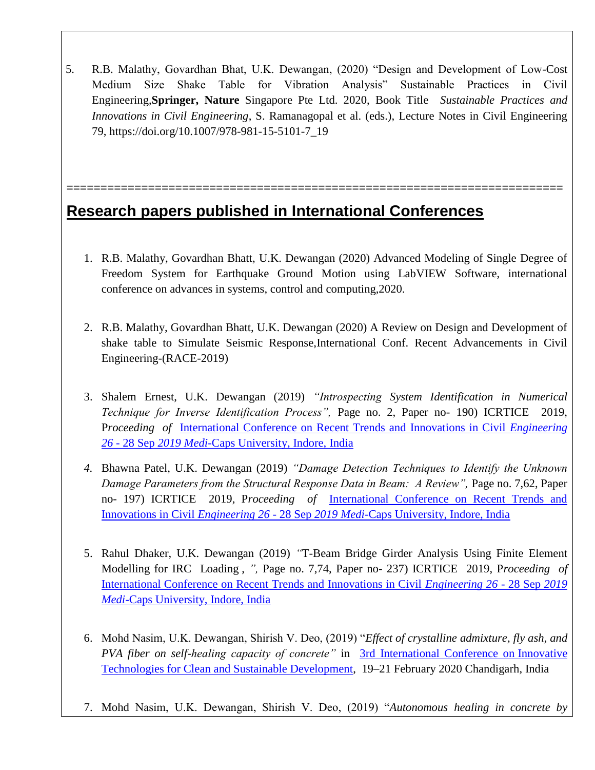5. R.B. Malathy, Govardhan Bhat, U.K. Dewangan, (2020) "Design and Development of Low-Cost Medium Size Shake Table for Vibration Analysis" Sustainable Practices in Civil Engineering,**Springer, Nature** Singapore Pte Ltd. 2020, Book Title *Sustainable Practices and Innovations in Civil Engineering*, S. Ramanagopal et al. (eds.), Lecture Notes in Civil Engineering 79, https://doi.org/10.1007/978-981-15-5101-7\_19

=========================================================================

# **Research papers published in International Conferences**

- 1. R.B. Malathy, Govardhan Bhatt, U.K. Dewangan (2020) Advanced Modeling of Single Degree of Freedom System for Earthquake Ground Motion using LabVIEW Software, international conference on advances in systems, control and computing,2020.
- 2. R.B. Malathy, Govardhan Bhatt, U.K. Dewangan (2020) A Review on Design and Development of shake table to Simulate Seismic Response,International Conf. Recent Advancements in Civil Engineering-(RACE-2019)
- 3. Shalem Ernest, U.K. Dewangan (2019) *"Introspecting System Identification in Numerical Technique for Inverse Identification Process",* Page no. 2, Paper no- 190) ICRTICE 2019, P*roceeding of* [International Conference on Recent Trends and Innovations in Civil](https://www.google.com/search?client=firefox-b-d&q=International+Conference+on+Recent+Trends+and+Innovations+in+Civil+Engineering+26+-+28+Sep+2019+Medi-Caps+University,+Indore,+India&spell=1&sa=X&ved=2ahUKEwin-ubUkvTpAhXEzDgGHZw6C8gQBSgAegQICxAm) *Engineering 26* - 28 Sep *2019 Medi*[-Caps University, Indore, India](https://www.google.com/search?client=firefox-b-d&q=International+Conference+on+Recent+Trends+and+Innovations+in+Civil+Engineering+26+-+28+Sep+2019+Medi-Caps+University,+Indore,+India&spell=1&sa=X&ved=2ahUKEwin-ubUkvTpAhXEzDgGHZw6C8gQBSgAegQICxAm)
- *4.* Bhawna Patel, U.K. Dewangan (2019) *"Damage Detection Techniques to Identify the Unknown Damage Parameters from the Structural Response Data in Beam: A Review",* Page no. 7,62, Paper no- 197) ICRTICE 2019, P*roceeding of* [International Conference on Recent Trends and](https://www.google.com/search?client=firefox-b-d&q=International+Conference+on+Recent+Trends+and+Innovations+in+Civil+Engineering+26+-+28+Sep+2019+Medi-Caps+University,+Indore,+India&spell=1&sa=X&ved=2ahUKEwin-ubUkvTpAhXEzDgGHZw6C8gQBSgAegQICxAm)  Innovations in Civil *Engineering 26* - 28 Sep *2019 Medi*[-Caps University, Indore, India](https://www.google.com/search?client=firefox-b-d&q=International+Conference+on+Recent+Trends+and+Innovations+in+Civil+Engineering+26+-+28+Sep+2019+Medi-Caps+University,+Indore,+India&spell=1&sa=X&ved=2ahUKEwin-ubUkvTpAhXEzDgGHZw6C8gQBSgAegQICxAm)
- 5. Rahul Dhaker, U.K. Dewangan (2019) *"*T-Beam Bridge Girder Analysis Using Finite Element Modelling for IRC Loading , *",* Page no. 7,74, Paper no- 237) ICRTICE 2019, P*roceeding of*  [International Conference on Recent Trends and Innovations in Civil](https://www.google.com/search?client=firefox-b-d&q=International+Conference+on+Recent+Trends+and+Innovations+in+Civil+Engineering+26+-+28+Sep+2019+Medi-Caps+University,+Indore,+India&spell=1&sa=X&ved=2ahUKEwin-ubUkvTpAhXEzDgGHZw6C8gQBSgAegQICxAm) *Engineering 26* - 28 Sep *2019 Medi*[-Caps University, Indore, India](https://www.google.com/search?client=firefox-b-d&q=International+Conference+on+Recent+Trends+and+Innovations+in+Civil+Engineering+26+-+28+Sep+2019+Medi-Caps+University,+Indore,+India&spell=1&sa=X&ved=2ahUKEwin-ubUkvTpAhXEzDgGHZw6C8gQBSgAegQICxAm)
- 6. Mohd Nasim, U.K. Dewangan, Shirish V. Deo, (2019) "*Effect of crystalline admixture, fly ash, and PVA fiber on self-healing capacity of concrete"* in [3rd International Conference on](http://www.itcsd2020.com/) Innovative [Technologies for Clean and Sustainable Development,](http://www.itcsd2020.com/) 19–21 February 2020 Chandigarh, India
- 7. Mohd Nasim, U.K. Dewangan, Shirish V. Deo, (2019) "*Autonomous healing in concrete by*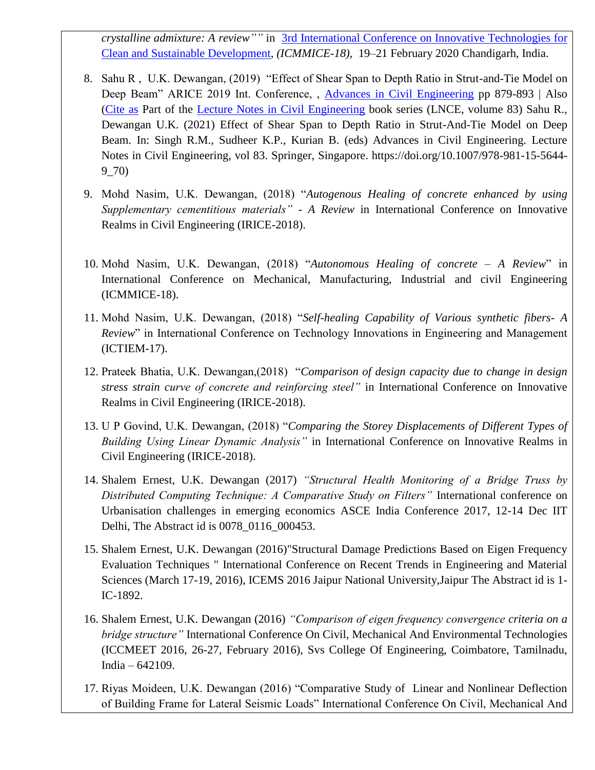*crystalline admixture: A review""* in [3rd International Conference on](http://www.itcsd2020.com/) Innovative Technologies for [Clean and Sustainable Development,](http://www.itcsd2020.com/) *(ICMMICE-18),* 19–21 February 2020 Chandigarh, India.

- 8. Sahu R , U.K. Dewangan, (2019) "Effect of Shear Span to Depth Ratio in Strut-and-Tie Model on Deep Beam" ARICE 2019 Int. Conference, , [Advances in Civil Engineering](https://link.springer.com/book/10.1007/978-981-15-5644-9) pp 879-893 | Also [\(Cite as](https://link.springer.com/chapter/10.1007/978-981-15-5644-9_70#citeas) Part of the [Lecture Notes in Civil Engineering](https://link.springer.com/bookseries/15087) book series (LNCE, volume 83) Sahu R., Dewangan U.K. (2021) Effect of Shear Span to Depth Ratio in Strut-And-Tie Model on Deep Beam. In: Singh R.M., Sudheer K.P., Kurian B. (eds) Advances in Civil Engineering. Lecture Notes in Civil Engineering, vol 83. Springer, Singapore. https://doi.org/10.1007/978-981-15-5644- 9\_70)
- 9. Mohd Nasim, U.K. Dewangan, (2018) "*Autogenous Healing of concrete enhanced by using Supplementary cementitious materials" - A Review* in International Conference on Innovative Realms in Civil Engineering (IRICE-2018).
- 10. Mohd Nasim, U.K. Dewangan, (2018) "*Autonomous Healing of concrete – A Review*" in International Conference on Mechanical, Manufacturing, Industrial and civil Engineering (ICMMICE-18).
- 11. Mohd Nasim, U.K. Dewangan, (2018) "*Self-healing Capability of Various synthetic fibers- A Review*" in International Conference on Technology Innovations in Engineering and Management (ICTIEM-17).
- 12. Prateek Bhatia, U.K. Dewangan,(2018) "*Comparison of design capacity due to change in design stress strain curve of concrete and reinforcing steel"* in International Conference on Innovative Realms in Civil Engineering (IRICE-2018).
- 13. U P Govind, U.K. Dewangan, (2018) "*Comparing the Storey Displacements of Different Types of Building Using Linear Dynamic Analysis"* in International Conference on Innovative Realms in Civil Engineering (IRICE-2018).
- 14. Shalem Ernest, U.K. Dewangan (2017) *"Structural Health Monitoring of a Bridge Truss by Distributed Computing Technique: A Comparative Study on Filters"* International conference on Urbanisation challenges in emerging economics ASCE India Conference 2017, 12-14 Dec IIT Delhi, The Abstract id is 0078\_0116\_000453.
- 15. Shalem Ernest, U.K. Dewangan (2016)"Structural Damage Predictions Based on Eigen Frequency Evaluation Techniques " International Conference on Recent Trends in Engineering and Material Sciences (March 17-19, 2016), ICEMS 2016 Jaipur National University,Jaipur The Abstract id is 1- IC-1892.
- 16. Shalem Ernest, U.K. Dewangan (2016) *"Comparison of eigen frequency convergence criteria on a bridge structure"* International Conference On Civil, Mechanical And Environmental Technologies (ICCMEET 2016, 26-27, February 2016), Svs College Of Engineering, Coimbatore, Tamilnadu, India – 642109.
- 17. Riyas Moideen, U.K. Dewangan (2016) "Comparative Study of Linear and Nonlinear Deflection of Building Frame for Lateral Seismic Loads" International Conference On Civil, Mechanical And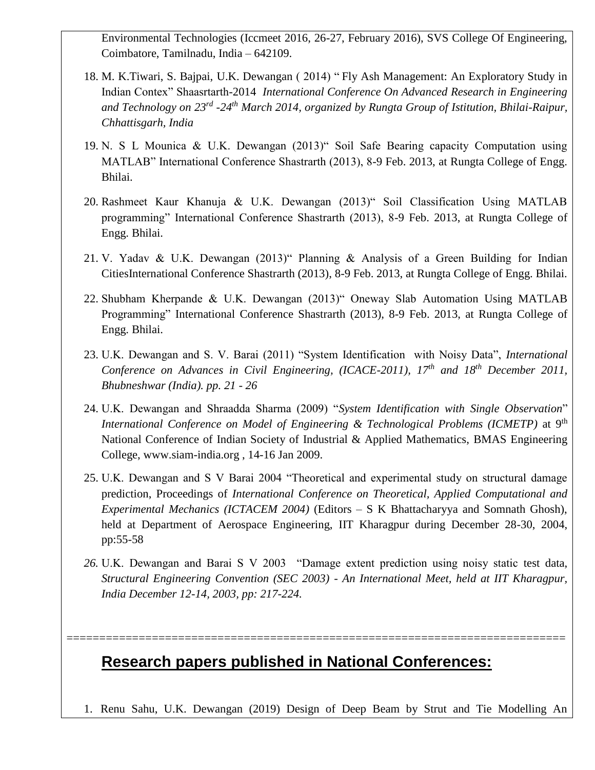Environmental Technologies (Iccmeet 2016, 26-27, February 2016), SVS College Of Engineering, Coimbatore, Tamilnadu, India – 642109.

- 18. M. K.Tiwari, S. Bajpai, U.K. Dewangan ( 2014) " Fly Ash Management: An Exploratory Study in Indian Contex" Shaasrtarth-2014 *International Conference On Advanced Research in Engineering and Technology on 23rd -24th March 2014, organized by Rungta Group of Istitution, Bhilai-Raipur, Chhattisgarh, India*
- 19. N. S L Mounica & U.K. Dewangan (2013)" Soil Safe Bearing capacity Computation using MATLAB" International Conference Shastrarth (2013), 8-9 Feb. 2013, at Rungta College of Engg. Bhilai.
- 20. Rashmeet Kaur Khanuja & U.K. Dewangan (2013)" Soil Classification Using MATLAB programming" International Conference Shastrarth (2013), 8-9 Feb. 2013, at Rungta College of Engg. Bhilai.
- 21. V. Yadav & U.K. Dewangan (2013)" Planning & Analysis of a Green Building for Indian CitiesInternational Conference Shastrarth (2013), 8-9 Feb. 2013, at Rungta College of Engg. Bhilai.
- 22. Shubham Kherpande & U.K. Dewangan (2013)" Oneway Slab Automation Using MATLAB Programming" International Conference Shastrarth (2013), 8-9 Feb. 2013, at Rungta College of Engg. Bhilai.
- 23. U.K. Dewangan and S. V. Barai (2011) "System Identification with Noisy Data", *International Conference on Advances in Civil Engineering, (ICACE-2011), 17th and 18th December 2011, Bhubneshwar (India). pp. 21 - 26*
- 24. U.K. Dewangan and Shraadda Sharma (2009) "*System Identification with Single Observation*" *International Conference on Model of Engineering & Technological Problems (ICMETP)* at 9<sup>th</sup> National Conference of Indian Society of Industrial & Applied Mathematics, BMAS Engineering College, www.siam-india.org , 14-16 Jan 2009.
- 25. U.K. Dewangan and S V Barai 2004 "Theoretical and experimental study on structural damage prediction, Proceedings of *International Conference on Theoretical, Applied Computational and Experimental Mechanics (ICTACEM 2004)* (Editors – S K Bhattacharyya and Somnath Ghosh), held at Department of Aerospace Engineering, IIT Kharagpur during December 28-30, 2004, pp:55-58
- *26.* U.K. Dewangan and Barai S V 2003 "Damage extent prediction using noisy static test data, *Structural Engineering Convention (SEC 2003) - An International Meet, held at IIT Kharagpur, India December 12-14, 2003, pp: 217-224.*

============================================================================

## **Research papers published in National Conferences:**

1. Renu Sahu, U.K. Dewangan (2019) Design of Deep Beam by Strut and Tie Modelling An